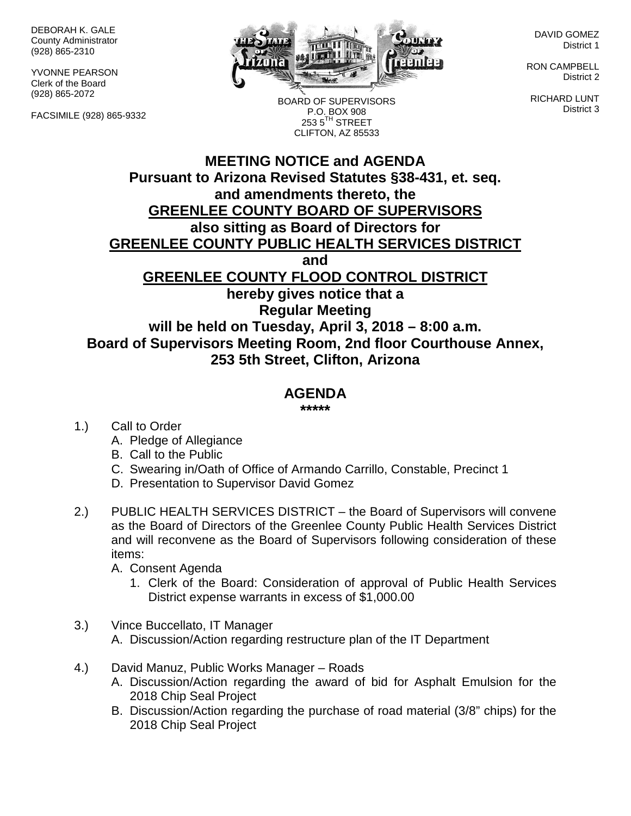DEBORAH K. GALE County Administrator (928) 865-2310

YVONNE PEARSON Clerk of the Board (928) 865-2072

FACSIMILE (928) 865-9332



DAVID GOMEZ District 1

RON CAMPBELL District 2

RICHARD LUNT District 3

BOARD OF SUPERVISORS P.O. BOX 908  $2535^{\text{TH}}$  STREET CLIFTON, AZ 85533

## **MEETING NOTICE and AGENDA Pursuant to Arizona Revised Statutes §38-431, et. seq. and amendments thereto, the GREENLEE COUNTY BOARD OF SUPERVISORS also sitting as Board of Directors for GREENLEE COUNTY PUBLIC HEALTH SERVICES DISTRICT and GREENLEE COUNTY FLOOD CONTROL DISTRICT hereby gives notice that a Regular Meeting will be held on Tuesday, April 3, 2018 – 8:00 a.m. Board of Supervisors Meeting Room, 2nd floor Courthouse Annex, 253 5th Street, Clifton, Arizona**

## **AGENDA**

**\*\*\*\*\***

- 1.) Call to Order
	- A. Pledge of Allegiance
	- B. Call to the Public
	- C. Swearing in/Oath of Office of Armando Carrillo, Constable, Precinct 1
	- D. Presentation to Supervisor David Gomez
- 2.) PUBLIC HEALTH SERVICES DISTRICT the Board of Supervisors will convene as the Board of Directors of the Greenlee County Public Health Services District and will reconvene as the Board of Supervisors following consideration of these items:
	- A. Consent Agenda
		- 1. Clerk of the Board: Consideration of approval of Public Health Services District expense warrants in excess of \$1,000.00
- 3.) Vince Buccellato, IT Manager A. Discussion/Action regarding restructure plan of the IT Department
- 4.) David Manuz, Public Works Manager Roads
	- A. Discussion/Action regarding the award of bid for Asphalt Emulsion for the 2018 Chip Seal Project
	- B. Discussion/Action regarding the purchase of road material (3/8" chips) for the 2018 Chip Seal Project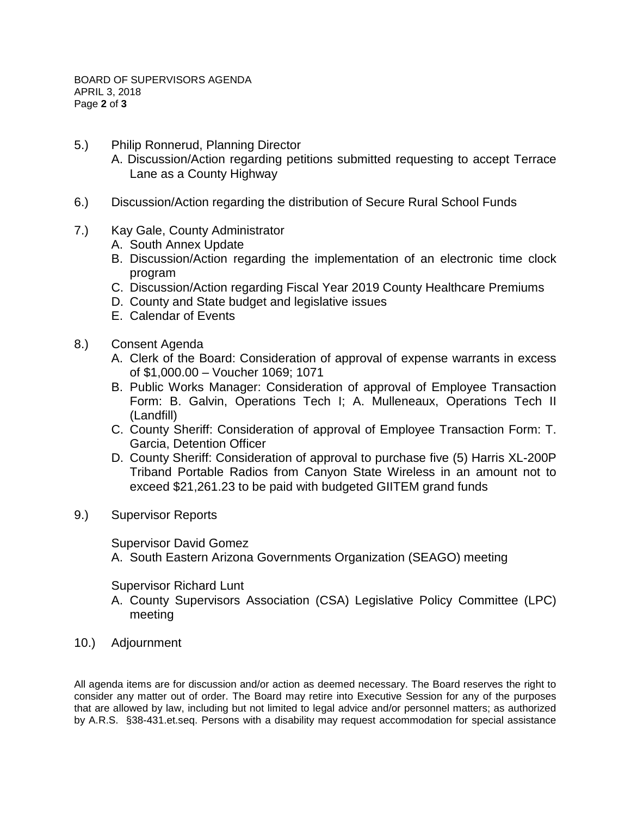- 5.) Philip Ronnerud, Planning Director
	- A. Discussion/Action regarding petitions submitted requesting to accept Terrace Lane as a County Highway
- 6.) Discussion/Action regarding the distribution of Secure Rural School Funds
- 7.) Kay Gale, County Administrator
	- A. South Annex Update
	- B. Discussion/Action regarding the implementation of an electronic time clock program
	- C. Discussion/Action regarding Fiscal Year 2019 County Healthcare Premiums
	- D. County and State budget and legislative issues
	- E. Calendar of Events
- 8.) Consent Agenda
	- A. Clerk of the Board: Consideration of approval of expense warrants in excess of \$1,000.00 – Voucher 1069; 1071
	- B. Public Works Manager: Consideration of approval of Employee Transaction Form: B. Galvin, Operations Tech I; A. Mulleneaux, Operations Tech II (Landfill)
	- C. County Sheriff: Consideration of approval of Employee Transaction Form: T. Garcia, Detention Officer
	- D. County Sheriff: Consideration of approval to purchase five (5) Harris XL-200P Triband Portable Radios from Canyon State Wireless in an amount not to exceed \$21,261.23 to be paid with budgeted GIITEM grand funds
- 9.) Supervisor Reports

Supervisor David Gomez

A. South Eastern Arizona Governments Organization (SEAGO) meeting

Supervisor Richard Lunt

- A. County Supervisors Association (CSA) Legislative Policy Committee (LPC) meeting
- 10.) Adjournment

All agenda items are for discussion and/or action as deemed necessary. The Board reserves the right to consider any matter out of order. The Board may retire into Executive Session for any of the purposes that are allowed by law, including but not limited to legal advice and/or personnel matters; as authorized by A.R.S. §38-431.et.seq. Persons with a disability may request accommodation for special assistance